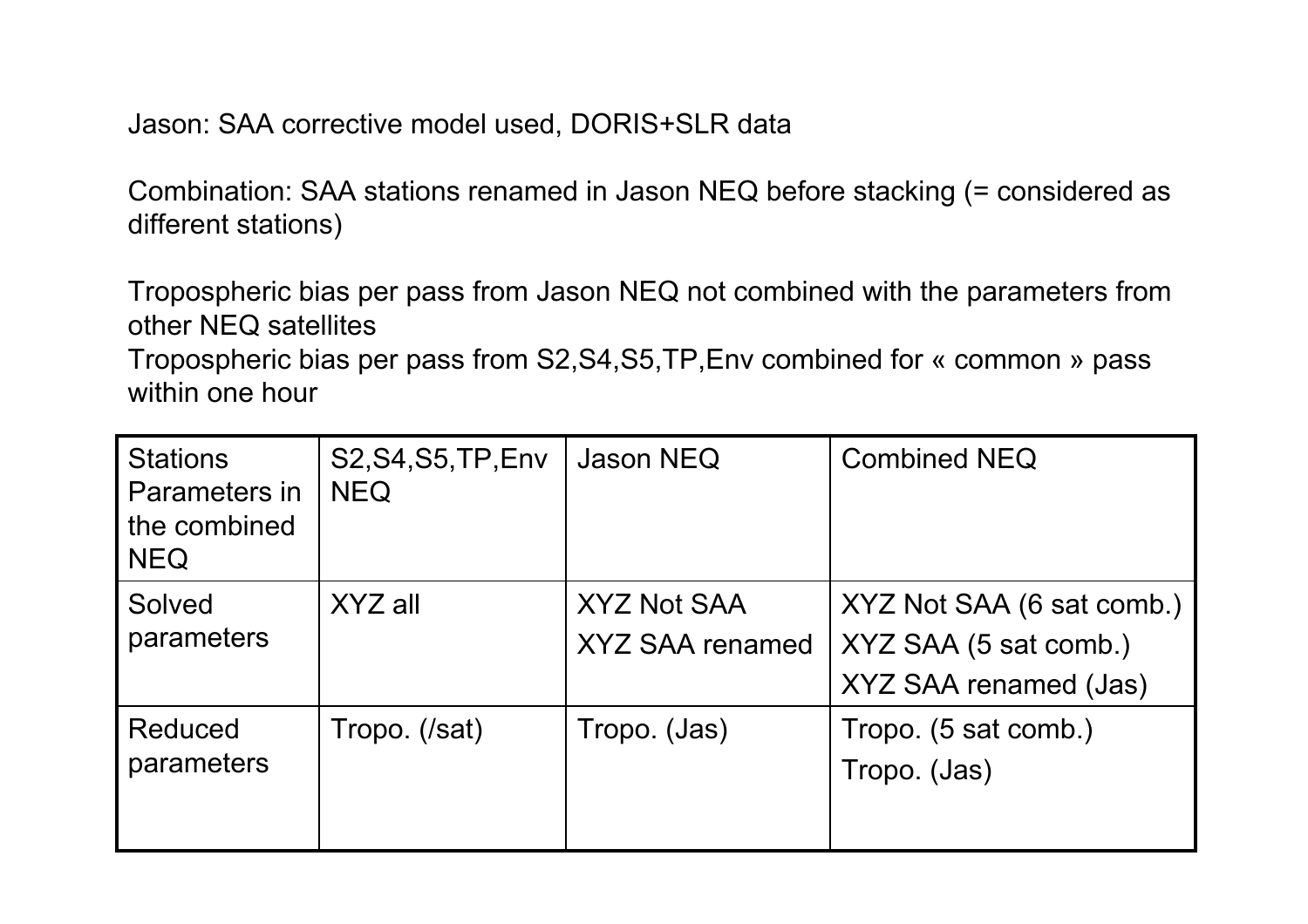Jason: SAA corrective model used, DORIS+SLR data

Combination: SAA stations renamed in Jason NEQ before stacking (= considered as different stations)

Tropospheric bias per pass from Jason NEQ not combined with the parameters from other NEQ satellites

Tropospheric bias per pass from S2,S4,S5,TP,Env combined for « common » pass within one hour

| <b>Stations</b><br>Parameters in<br>the combined<br><b>NEQ</b> | <b>S2, S4, S5, TP, Env</b><br><b>NEQ</b> | Jason NEQ                             | <b>Combined NEQ</b>                                                         |
|----------------------------------------------------------------|------------------------------------------|---------------------------------------|-----------------------------------------------------------------------------|
| Solved<br>parameters                                           | XYZ all                                  | <b>XYZ Not SAA</b><br>XYZ SAA renamed | XYZ Not SAA (6 sat comb.)<br>XYZ SAA (5 sat comb.)<br>XYZ SAA renamed (Jas) |
| Reduced<br>parameters                                          | Tropo. (/sat)                            | Tropo. (Jas)                          | Tropo. (5 sat comb.)<br>Tropo. (Jas)                                        |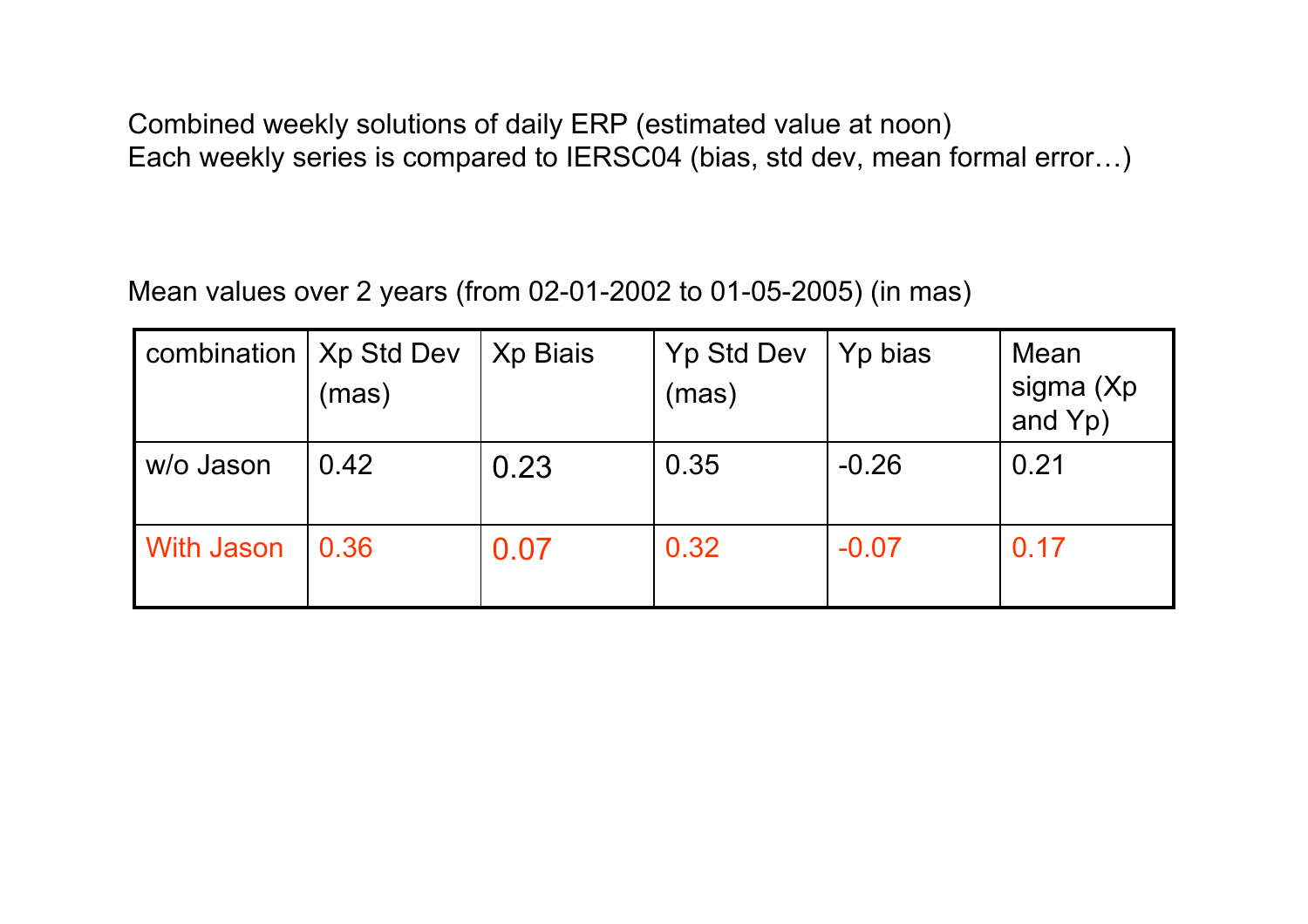Combined weekly solutions of daily ERP (estimated value at noon) Each weekly series is compared to IERSC04 (bias, std dev, mean formal error…)

## Mean values over 2 years (from 02-01-2002 to 01-05-2005) (in mas)

| combination   Xp Std Dev | (mas) | Xp Biais | <b>Yp Std Dev</b><br>(mas) | Yp bias | Mean<br>sigma (Xp<br>and Yp) |
|--------------------------|-------|----------|----------------------------|---------|------------------------------|
| l w/o Jason              | 0.42  | 0.23     | 0.35                       | $-0.26$ | 0.21                         |
| <b>With Jason</b>        | 0.36  | 0.07     | 0.32                       | $-0.07$ | 0.17                         |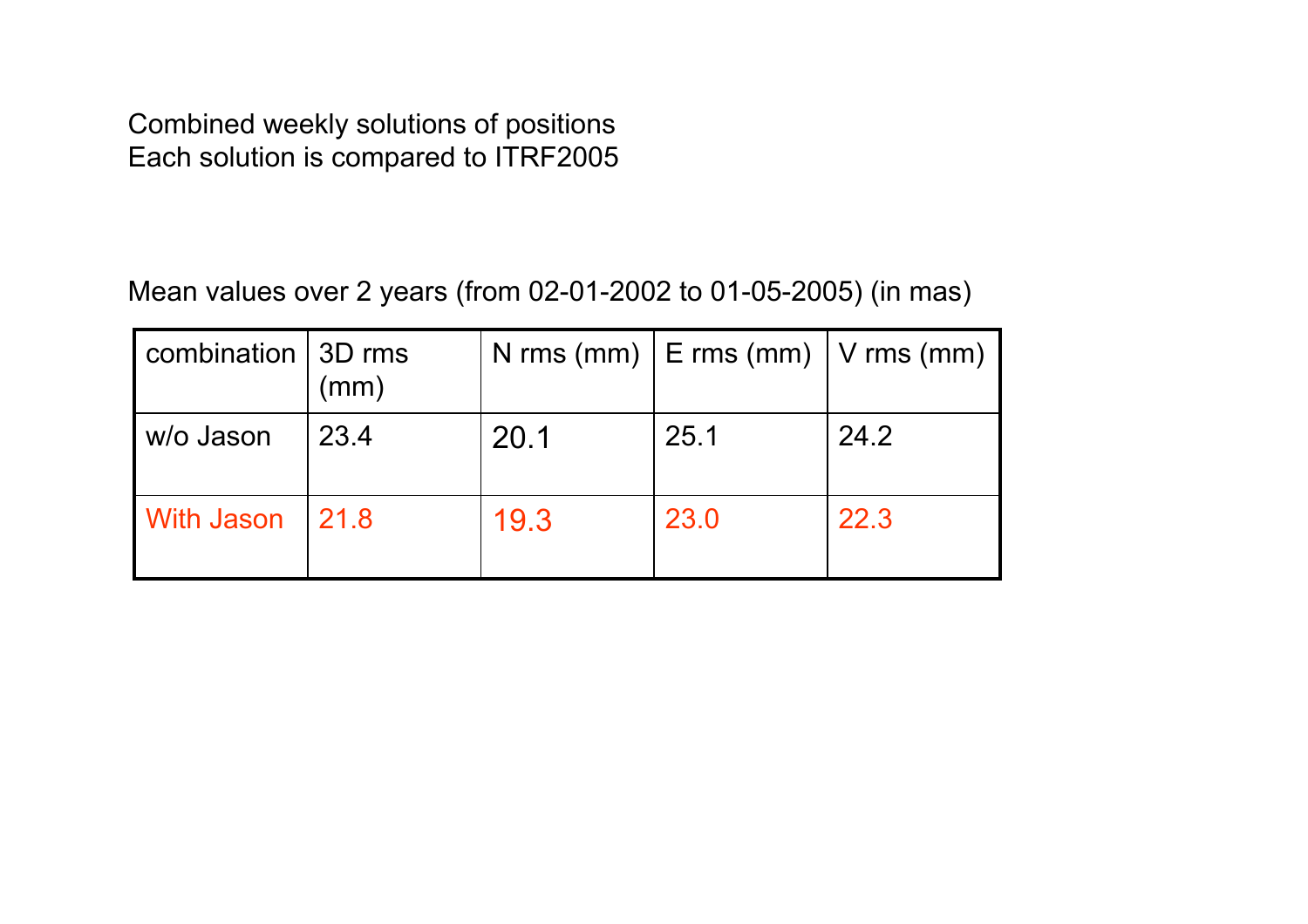Combined weekly solutions of positions Each solution is compared to ITRF2005

## Mean values over 2 years (from 02-01-2002 to 01-05-2005) (in mas)

| combination   3D rms | (mm) |      | N rms (mm) $\vert$ E rms (mm) $\vert$ V rms (mm) |      |
|----------------------|------|------|--------------------------------------------------|------|
| I w/o Jason          | 23.4 | 20.1 | 25.1                                             | 24.2 |
| <b>With Jason</b>    | 21.8 | 19.3 | 23.0                                             | 22.3 |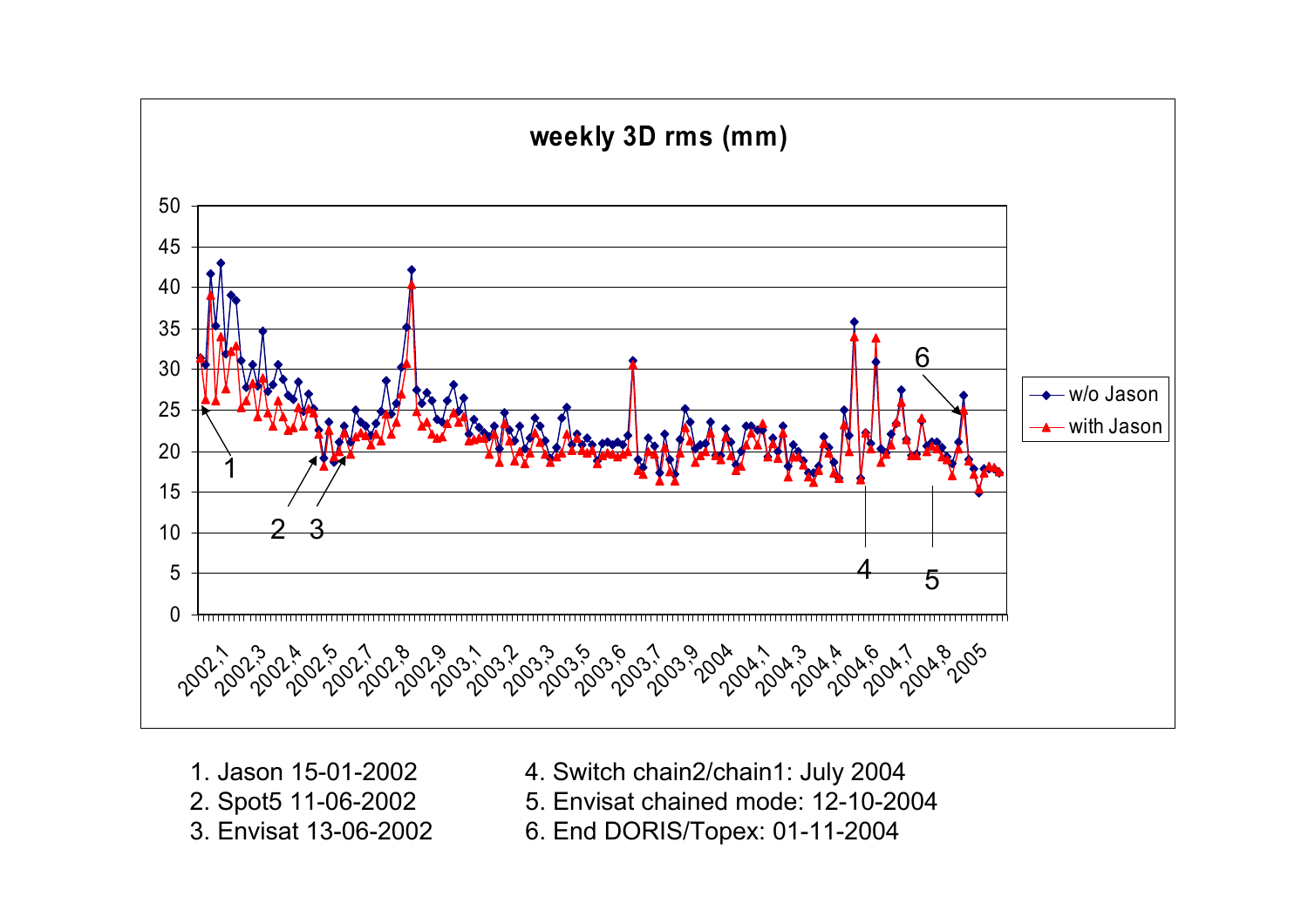

- 1. Jason 15-01-2002
- 
- 3. Envisat 13-06-2002
- 4. Switch chain2/chain1: July 2004
- 2. Spot5 11-06-2002 5. Envisat chained mode: 12-10-2004
	- 6. End DORIS/Topex: 01-11-2004